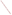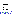

# **Environmental Technology Verification Program** Advanced Monitoring Systems Center

Test/QA Plan for Verification of Portable Analyzers for Detection of Cyanide in Water

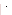# **TEST/QA PLAN**

**for** 

# **VERIFICATION OF PORTABLE ANALYZERS FOR THE DETECTION OF CYANIDE IN WATER**

**January 8, 2003** 

**Prepared by** 

**Battelle 505 King Avenue Columbus, OH 43201-2693**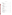# **TABLE OF CONTENTS**

| 1.3.3 EPA           |  |
|---------------------|--|
|                     |  |
|                     |  |
|                     |  |
|                     |  |
|                     |  |
|                     |  |
|                     |  |
|                     |  |
|                     |  |
|                     |  |
|                     |  |
|                     |  |
|                     |  |
|                     |  |
|                     |  |
|                     |  |
|                     |  |
|                     |  |
|                     |  |
|                     |  |
|                     |  |
| 4.3 Sample Analysis |  |
|                     |  |
|                     |  |
|                     |  |
|                     |  |
|                     |  |
|                     |  |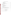# **TABLE OF CONTENTS (CONTINUED)**

| 7.1.1 Laboratory Standard/Performance Test Sample Preparation 34    |  |
|---------------------------------------------------------------------|--|
| 7.1.2 Field and Laboratory Handling During Verification Testing  34 |  |
|                                                                     |  |
|                                                                     |  |
| <b>APPENDIX A</b>                                                   |  |
|                                                                     |  |

# **LIST OF TABLES**

|--|--|--|--|--|--|

# **LIST OF FIGURES**

|--|--|--|--|--|--|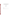# ETV Advanced Monitoring Systems Center

# Test/QA Plan for Verification of Portable Analyzers for Detection of Cyanide in Water

Version 1

January 8, 2003

APPROVAL:

| Name    |  |  |
|---------|--|--|
| Company |  |  |
| Date    |  |  |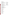# **DISTRIBUTION LIST**

Elizabeth A. Betz U.S. Environmental Protection Agency-HEASD National Exposure Research Laboratory E205-01 EPA Mailroom Research Triangle Park, NC 27711

Robert Fuerst U.S. Environmental Protection Agency-HEASD National Exposure Research Laboratory D205-05 EPA Mailroom Research Triangle Park, NC 27711

Susan Lumpkin U.S. Environmental Protection Agency-HEASD National Exposure Research Laboratory D205-05 USEPA Mailroom Research Triangle Park, NC 27711

Elizabeth Hunike Quality Assurance Specialist U.S. Environmental Protection Agency-HEASD National Exposure Research Laboratory D205-03 EPA Mailroom Research Triangle Park, NC 27711

Jim Eagan LaMotte Company 802 Washington Ave. Chestertown, MD 21620

Joanne Carpenter **CHEMetrics** 4295 Catlett Road Calverton, VA 20138

John Murray WTW Measurement Systems 3170 Metro Parkway Fort Myers, FL 33916

John Esposito Orbeco-Hellige 185 Marine St. Farmingdale, NY 11735 Steve West Thermo-Orion 500 Cummings Ctr. Beverly, MA 01915

Karen Riggs Bruce Alleman Amy Dindal Ryan James Zachary Willenberg Battelle 505 King Ave. Columbus, OH 43201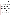## **1.0 INTRODUCTION**

#### **1.1 Test Description**

This test/quality assurance (QA) plan provides procedures for a verification test of portable analysis technologies that determine the free cyanide ion in water, which hereafter will be referred to as "cyanide". The verification test will be conducted under the auspices of the U.S. Environmental Protection Agency (EPA) through the Environmental Technology Verification (ETV) program. The purpose of ETV is to provide objective and quality assured performance data on environmental technologies, so that users, developers, regulators, and consultants can make informed decisions about purchasing and applying these technologies.

The verification test will be performed by Battelle, of Columbus, Ohio, which is managing the ETV Advanced Monitoring Systems (AMS) Center through a cooperative agreement with EPA. The scope of the AMS Center covers verification of monitoring technologies for contaminants and natural species in air, water, and soil. In performing the verification test, Battelle will follow the procedures specified in this test/QA plan, and will comply with the data quality requirements in the "Quality Management Plan for the ETV Advanced Monitoring Systems Center" (QMP).<sup>1</sup>

#### **1.2 Test Objective**

The verification of portable cyanide analyzers will be conducted to quantify the analytical and operational performance characteristics of these technologies under a specific set of test conditions. A variety of quality control, performance evaluation, drinking, and surface water samples will be analyzed by the participating technologies to assess their ability to measure cyanide. To evaluate the accuracy of the results generated by each technology, each sample will also be analyzed using an accepted reference method, and the reported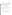Portable Cyanide Analyzers Test/QA Plan Page 2 of 40 Version 1 Date: 1/08/03

concentrations will be compared with the concentrations reported by the portable cyanide analyzer. The precision of the results will be evaluated by making replicate measurements on each sample. Operator bias will be assessed by comparing results generated by a technical and non-technical operator. Qualitative characteristics of each technology such as ease of use and field portability will be assessed by observations made by the test coordinator throughout the verification test. The results from each technology will be reported individually. No direct comparison will be made between technologies, but each technology will undergo identical testing so it is convenient for end users to evaluate the ETV testing results.

#### **1.3 Organization and Responsibility**

The verification test will be performed by Battelle with the participation of the interested vendors who will be having their analyzers verified. The testing will occur at Battelle's Columbus, Ohio laboratories and at private residences in the Columbus area. The organizational chart shown in Figure 1 shows the individuals from Battelle, the vendor companies, and the EPA who will have responsibilities in the verification test.

#### **1.3.1 Battelle**

Dr. Ryan James is the AMS Center Verification Test Coordinator. In this role, Dr. James will have overall responsibility for ensuring that the technical, schedule, and cost goals established for the verification test are met. More specifically, he will:

- Assemble a team of qualified technical staff to conduct the verification test.
- Direct the team in performing the verification test in accordance with the test/QA plan.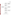Portable Cyanide Analyzers Test/QA Plan Page 3 of 40 Version 1 Date: 1/08/03



**Figure 1. Organization Chart for the Verification Test**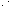- Ensure that all quality procedures specified in the test/QA plan and in the QMP are followed.
- Prepare the draft test/QA plan, verification reports, and verification statements.
- Revise the draft test/QA plan, verification reports, and verification statements in response to reviewers' comments.
- Respond to any issues raised in assessment reports and audits, including instituting corrective action as necessary.
- Serve as the primary point of contact for vendor representatives.
- Establish a budget for the verification test and monitor staff effort to ensure that budget is not exceeded.
- Ensure that confidentiality of vendor information is maintained.

Dr. Bruce C. Alleman is a Verification Testing Leader for the AMS Center. As such, Dr. Alleman will provide technical guidance and oversee the various stages of verification testing. He will:

- Support Dr. James in preparing the test/QA plan and organizing the testing.
- Review the draft test/QA plan.
- Review the draft verification reports and statements.

Ms. Karen Riggs is Battelle's manager for the AMS Center. As such, Ms. Riggs will:

- Review the draft test/QA plan.
- Review the draft verification reports and verification statements.
- Coordinate distribution of the final test/QA plan, verification reports, and verification statements.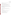- Ensure that necessary Battelle resources, including staff and facilities, are committed to the verification test.
- Ensure that vendor confidentiality is maintained.
- Support Dr. James in responding to any issues raised in assessment reports and audits.
- Maintain communication with EPA's technical and quality managers.
- Facilitate a stop work order if Battelle or EPA QA staff discovers adverse findings.

Battelle Technical Staff and temporary staff assistance will conduct the testing of the analyzers during the verification test and associated experimental activities. The responsibilities of these technical staff include:

- Assist in the collection of samples.
- Analyze samples for the verification test as described in this test/QA plan.

Mr. Zachary Willenberg is Battelle's Quality Manager for the AMS Center. As such Mr. Willenberg will:

- Review the draft test/OA plan.
- Conduct quality review of reference laboratory documentation (see Section 1.3.4).
- Conduct a technical systems audit once during the verification test.
- Audit at least 10% of the verification data.
- Prepare and distribute an assessment report for each audit.
- Verify implementation of any necessary corrective action.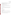- Issue a stop work order if self audits indicate that data quality is being compromised; notify Battelle's Center Manager if stop work order is issued.
- Provide a summary of the quality assurance/quality control (QA/QC) activities and results for the verification reports.
- Review the draft verification reports and statements.
- Have an overall responsibility for ensuring that the test/QA plan is followed.

Mr. Gary Carlin is Battelle's Environmental Health and Safety representative for the AMS Center. As such Mr. Carlin will:

- Review the safety issues related to handling cyanide and provide input into the test/QA plan.
- Advise staff working with cyanide on personal protective equipment and training needs.

# **1.3.2 Vendors**

Vendor representatives will:

- Review the draft test/QA plan.
- Approve the test/QA plan.
- Provide two off-the-shelf models of the analyzers to be verified for the duration of the verification test.
- As desired, instruct Battelle personnel on how to operate and maintain the analyzers prior to testing.
- If desired, provide a representative to operate the analyzers during the verification tests
- Review their respective draft verification report and statement.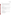# **1.3.3 EPA**

EPA's responsibilities in the AMS Center are based on the requirements stated in the "Environmental Technology Verification Program Quality and Management Plan of the Pilot Period (1995-2000)" (QAMP). The roles of the specific EPA staff are as follows:

Ms. Elizabeth Betz is EPA's Quality Assurance Manager. For the verification test, Ms. Betz will:

- Review the draft test/QA plan.
- Direct the performance, at the EPA's discretion, of external technical systems audit(s) during the verification test.
- Notify the EPA AMS Center Manager to facilitate a stop work order if the external audit indicates that data quality is being compromised.
- Prepare and distribute an assessment report summarizing results of the external audit.
- Review draft verification reports and statements.

Mr. Robert Fuerst is EPA's manager for the AMS Center. As such, Mr. Fuerst will:

- Review the draft test/QA plan.
- Approve the final test/QA plan.
- Notify the Battelle Center Manager to facilitate a stop work order if the external audit indicates that data quality is being compromised.
- Review the draft verification statements.
- Review the final verification reports.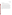#### **1.3.4 Commercial Laboratory**

Battelle will collaborate with a commercial laboratory that will:

- Perform reference analyses of all test and QA samples of unknown concentrations.
- Submit to Battelle the results of the reference analyses in an agreed upon format.

In order to be selected to perform the reference analyses during the verification test, a commercial laboratory will need to demonstrate its competence to perform the needed cyanide analysis (see Section 2.4) by providing Battelle with copies of: their method/standard operating procedure, quality assurance manual, state government certifications/approvals for cyanide analysis, and staff training records, where available. Additionally, Battelle will prepare and submit several samples of potassium cyanide to the laboratory. Battelle will prepare these samples at concentrations unknown to the prospective laboratory. The commercial laboratory's reported concentrations of the submitted quality control standards will need to be within 25% of their known concentrations. If the prospective laboratory does not comply fully with each of the above requirements, another laboratory will be selected and their competence verified in a similar manner.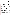# **2.0 VERIFICATION APPROACH**

#### **2.1 Scope of Testing**

Cyanide is present in various forms in water. This verification test focuses on the detection of the free cyanide ion  $(CN^G)$  which in this document is referred to as "cyanide". At high doses, this form of cyanide inhibits cellular respiration and in some cases can result in death. In drinking and surface water under ambient conditions, cyanide evolves from aqueous hydrogen cyanide, sodium cyanide, potassium cyanide, and other ionic complexes where cyanide is released easily when dissolved in water. Because of the toxicity of cyanide to humans, the EPA has set 0.2 mg/L as the maximum concentration of cyanide that can be present in drinking water. The reference method to be used during this verification test is EPA Method 335.1 "Cyanides Amenable to Chlorination". This method was selected because it measures the concentration of the cyanide ion in water samples under ambient conditions, which is the same form of cyanide that the technologies to be verified are designed to measure.

This test/QA plan specifically addresses verification testing of 1) portable test kits, and 2) ion selective electrodes that provide quantitative measurements of cyanide in water. The test kits consist of a portable colorimeter that requires a specific reagent solution. Typically the reagent and the water sample are mixed, and the mixture is inserted into the colorimeter and probed photometrically to provide a quantitative determination of cyanide. These analyzers report results via a digital display or electronic output signal. The cyanide ion selective electrodes work as sensors. A membrane at the end of an electrode allows only the negatively charged cyanide ion to be transported through, thus creating a potential difference across that membrane. This potential difference is directly proportional to the concentration of free cyanide ions in the bulk solution. Upon calibration in solutions of cyanide, the electrode is placed in a water sample and the concentration of free cyanide in the water is reported through a digital output.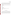The verification of all the portable cyanide analyzers will be done through the analysis of prepared, surface water, and drinking water samples by both the analyzers being verified and by a standard reference method. Statistical comparisons of the analytical results from the reference method and the analyzers being verified will provide a basis for quantitative performance evaluations of the analyzers. Each of the analyzers will also be evaluated in terms of ease of use and sample throughput.

The potable cyanide analyzers provide a measure of the analyte concentration, and will be evaluated in terms of:

- accuracy
- precision
- linearity
- method detection limit
- inter-unit reproducibility
- matrix effects
- response of analyzer at cyanide concentrations dangerous to human health
- operator bias (test kit analyzers only)
- portability
- ease of use.

## **2.2 Experimental Design**

Two units of each portable cyanide analyzer being tested will undergo verification testing. The verification results for the two units will be reported and intercompared to assess unit-to-unit reproducibility. The verification test will involve challenging the analyzers being verified with a variety of test samples, including sets of drinking and surface water samples representative of those likely to be analyzed using these devices. All samples will be analyzed by the technologies being verified and by a standard reference method. Comparison of the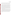Portable Cyanide Analyzers Test/QA Plan Page 11 of 40 Version 1 Date: 1/08/03

results from the analyzers to those from the reference method will be used to quantitatively assess accuracy, linearity, and detection limit. Multiple aliquots of each test sample will be analyzed separately to assess precision of both the analyzers being verified and the reference method.

The test kit analyzers are designed for use by non-technical operators while the ion selective electrodes are not. Therefore each test kit analyzer will be tested independently by two separate operators (technical and non-technical) to test for the existence of operator bias on analyzer performance. The vendor will have the option of providing a representative to serve as the technical operator or of training Battelle staff to serve as the technical operator. The nontechnical staff member will have little prior knowledge of the analyzer being verified and will have little or no previous laboratory experience. Both operators will analyze all of the test samples. Each operator will manipulate the water samples and reagents to generate a solution that can be probed photometrically. Then, each operator will analyze that solution using both units of a given vendor's analyzer. More than one technical and/or non-technical operators may be used by Battelle. The operators will be uniquely identified in the verification report so it is clear what operator produced what data.

Matrix effects will be assessed by separately evaluating accuracy, precision, and linearity on distinctly different sample matrices, such as samples prepared in pure water with varying cyanide concentrations and drinking and surface water samples both spiked with cyanide and left unspiked. Sample throughput will be estimated based on the time required to analyze a sample set. Performance parameters, such as ease of use and reliability, will be based on documented observations of the operators and test coordinator. Each analyzer will be used in a field environment, as well as in a laboratory setting, to assess the impact of field conditions on performance.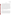#### **2.3 Test Samples**

Test samples to be used in this verification test will include quality control (QC) samples, performance test (PT) samples, and drinking and surface water samples. Tables listing the number and type of different samples to be analyzed using each type of analyzer are provided in Appendix A. The QC and PT samples will be prepared from purchased standards. The QC sample concentrations will be targeted to the EPA maximum contaminant level (MCL) in drinking water which for cyanide is 0.2 mg/L. The PT samples will cover the range from 0.03 mg/L to 0.8 mg/L for the test kit analyzers. The performance of the test kit analyzers will also be evaluated with three samples at concentrations that could be lethal if a volume the size of a typical glass of water was ingested. The ion selective electrode analyzers will be tested with PT samples ranging from 0.03 mg/L to 25 mg/L, but will not be subjected to the lethal/near-lethal concentrations. In order to evaluate the field portability of these analyzers, some of the drinking water samples indicated in Appendix A will be analyzed in a field setting. Other drinking and surface water samples will be shipped to Battelle and analyzed blindly by the vendors' analyzers in a laboratory setting. All the samples will be analyzed by each of the two units of each analyzer undergoing testing and by a standard reference method.

#### **2.3.1 QC Samples**

Prepared QC samples will include both laboratory reagent blanks (RB) and laboratory fortified matrix (LFM) samples. The RB samples will be prepared from ASTM type II deionized water and will be exposed to identical handling and analysis procedures as other prepared samples, including the addition of all reagents. These samples will be used to help ensure that no sources of contamination are introduced in the sample handling and analysis procedures. The LFM samples will be prepared as aliquots of drinking and surface water samples spiked with KCN to increase the analyte concentration by 0.2 mg/L. In the case of the drinking water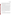Portable Cyanide Analyzers Test/QA Plan Page 13 of 40 Version 1 Date: 1/08/03

samples to be analyzed in the field, the spike solution used to prepare the LFM will be prepared in the laboratory and brought to the field site. For the rest of the samples, the LFM will be prepared similarly, only within a Battelle laboratory, not in a field setting. Since no cyanide is expected to be detectable in the drinking and surface water samples, four LFM samples will be analyzed for each source of water. These samples will be used to help identify if matrix effects have an influence on the analytical results.

Quality control standards (QCS) will be used to ensure the proper calibration of the ion selective electrodes (ISE) being verified and of the reference instrument. The instruments in the colorimetric test kits are factory calibrated so no additional calibration can be performed by the operators. However, QCS will still be analyzed (without defined performance limits) by the colorimeters to demonstrate their proper functioning to the operator. The QCS standards will be purchased from a commercial supplier and subject only to dilution as appropriate. A QCS (as part of the reference laboratory's SOP) will be analyzed before and after the testing period, as well as after every tenth sample. The reference method will be required to measure the concentrations of the QCS to within 25% of the known concentration. If the difference is larger that 25%, the data collected since the most recent QCS will be flagged and proper maintenance will be performed to regain accurate cyanide measurement, according to the reference laboratory's protocols. For the ISE technologies, if there is a greater than 25% decrease in the accuracy of the QCS, the operator will polish the electrode and re-calibrate in attempt to improve the accuracy of the measurement. Additional standards will also be purchased from an independent supplier, for use in a performance evaluation audit, as described in Section 6.2.1.

#### **2.3.2 Performance Test (PT) Samples**

The PT samples will be prepared in the laboratory using ASTM Type II deionized water as the water source and will include only cyanide at various concentrations. These samples will be used specifically to help determine the analyzer accuracy, linearity, and detection limit. To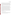Portable Cyanide Analyzers Test/QA Plan Page 14 of 40 Version 1 Date: 1/08/03

determine the detection limit of the analyzers, a solution with a concentration five times the vendor's reported detection limit will be used. Seven nonconsecutive replicate analyses of this solution will be made to obtain precision data with which to determine the method detection limit. Additionally, solutions will be prepared to assess the linearity over a broad concentration range. Four aliquots of each of these solutions will be analyzed separately to assess the precision of the analyzers. The concentrations of the PT samples are listed in the tables within Appendix A. The operators will analyze the PT samples blindly in a random order to minimize any bias that could occur.

Because cyanide is particularly toxic, ETV stakeholders and other end users of these analyzers are interested in the response of these analyzers when the cyanide is present in drinking water at lethal and near-lethal concentrations (>50 mg/L). To address this issue, three test samples, prepared in ASTM water, at lethal or near-lethal concentrations (50, 100, and 250 mg/L) will be analyzed. While typically the analyzers are not designed to quantitatively measure these extreme concentrations, the operators and test coordinator will make qualitative observations of their operation while analyzing such samples. Observations of unusual operational characteristics (rate of color change, unusually intense color, unique digital readout, etc.) will be documented and reported so the end user can be made aware of what analyzer performance characteristics may serve as indicators of lethal or near-lethal concentrations. The ion selective electrode analyzers will be exempted from the testing of lethal and near-lethal concentrations because the electrode membrane is damaged when placed in concentrations of cyanide greater than 30 mg/L.

#### **2.3.3 Drinking and Surface Water Samples**

Water samples, including tap water (well and local distribution sources) and fresh surface water will be collected from a variety of sources and will be used to evaluate technology performance. Samples will be collected from the following sources: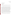- Residential tap (Columbus water)
- Residential tap (well water)
- Alum Creek Reservoir
- **Olentangy River**
- Entry of water distribution centers (post-treatment) from five cities, one city each from the Northwestern, Southwestern, Midwestern, Southeastern, and Northeastern region of the U.S.

In general, approximately 8-L water samples will be collected as part of this verification test. The water samples will not be characterized in any way (i.e., hardness, alkalinity, etc.) other than for cyanide concentration. They will be split into two 4-L sub-samples. One sub-sample will be spiked with 0.2 mg/L cyanide, to provide LFM aliquots, and the other sub-sample will remain unspiked. Four 400-mL aliquots to be used for analysis by the vendors' test kit analyzers  $(\sim)10$  mL per replicate analysis) and ion selective electrodes ( $\sim$ 100 mL total needed) will be taken from each sub-sample. Also taken from each sub-sample will be four 500-mL aliquots that will be used for analysis by the reference method. Cyanide is not expected to be detectable in any of the drinking or surface water samples analyzed during this test. In order to avoid replicating non-detectable concentrations, only one unspiked aliquot of each source of water will be analyzed if cyanide is not detectable in the first aliquot analyzed by each participating technology. If there is detectable cyanide in that initial aliquot, three additional aliquots of that sample will be analyzed in addition to four LFM aliquots. Four LFM aliquots will be prepared and analyzed for every drinking and surface water source, regardless of the concentration of the initial aliquot. Each aliquot analyzed by the analyzers being verified will also be analyzed by the reference method.

Some of the verification test samples will be collected and then shipped to Battelle to undergo verification testing in a Battelle laboratory. These include surface water from the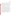Portable Cyanide Analyzers Test/QA Plan Page 16 of 40 Version 1 Date: 1/08/03

Olentangy River and Alum Creek Reservoir and drinking water samples collected at five cities located in five different regions of the U.S. The surface water will be collected near the shoreline by submerging the containers no more than one inch below the surface of the water. Representatives of each city's water treatment facility will provide Battelle a sample of water that has completed the water treatment process, but has not yet entered into the water distribution system. These samples will be preserved with NaOH at a pH of greater than 12 and the samples will be analyzed within 14 days. Once the samples arrive at Battelle, they will be split into unspiked background and LFM sub-samples as described above, and analyzed by the participating technologies.

Testing the operation of the analyzers in a field setting is a key component of the verification test. Finding out the performance of each analyzer while being used outside the laboratory under outdoor conditions and without the availability of miscellaneous laboratory supplies is important to the stakeholders and end users of these analyzers. The residential tap water (both well and Columbus water) samples will be used to verify the field portability of these analyzers. The residential tap water samples will be analyzed three different ways to verify each technology's performance. Twenty-four liters of water will be collected from an outside spigot at the participating residences and split into three approximately 8-L samples. The first sample will be analyzed outdoors at the residence under the current weather conditions (meteorological conditions at the time of field sampling and analysis will be documented), the second sample will be brought inside the residence and allowed to equilibrate to room temperature before testing, and the third sample will be transported back to Battelle for testing in the laboratory like the samples collected elsewhere and shipped to Battelle. Each 8-L sample will be split and analyzed as described in the second paragraph of this section. If any of the samples are not able to be analyzed within 24 hours of sampling, they will be preserved with NaOH to a pH greater than 12 at 4EC.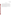## **2.4 Reference Method**

Technology verification will involve, in part, comparison of the results from each analyzer being verified to the results obtained from an appropriate reference method. The reference method chosen for this verification test, for both the ion selective electrodes and test kit technologies, is an EPA standard method for the analysis of water. Samples will be analyzed using visible spectroscopy according to EPA Method  $335.1^2$ , Cyanides, Amenable to Chlorination. This method incorporates two determinations of total cyanide. One determination is done after the free cyanide in the sample has been chlorinated to CNCl, which degrades quickly, and the second is done without chlorination. The concentration of free cyanide is given by the difference of the two measurements of total cyanide.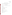# **3.0 MATERIALS AND EQUIPMENT**

In general, this verification test relies on the materials and equipment provided by the vendors. Battelle will provide the following equipment and materials.

#### **3.1 Laboratory Supplies**

The following laboratory supplies will be needed for the preparation of the PT samples and the QC samples:

- ASTM type II water
- 4-L, 1-L, 250-mL, and 100-mL Class A volumetric flask
- 10-mL Class A volumetric pipets
- 10-mL and 50 mL disposable pipets
- 0.5-mL and 1.0-mL micro pipets
- micro pipet tips
- NIST traceable reference standard for target analyte
- HDPE containers

NaOH for preservation and pH adjustment where applicable

- HCl for pH adjustment where applicable
- pH meter
- personal protective equipment.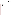## **3.2 Field Supplies**

Battelle will provide the following supplies needed for the collection of field samples:

- ASTM type II water
- 125-mL, 500-mL, 1-L, and 8-L HDPE containers
- 1-mL micro pipet
- 1-mL micro pipet tips
- 10-mL and 50 mL disposable pipets
- HDPE volumetric flasks of various volumes
- coolers and blue ice packs for sample storage
- thermometer
- lead carbonate
- potassium-iodide starch paper
- lead acetate paper
- pH meter
- ascorbic acid
- sodium hydroxide for preservation and pH adjustment where applicable
- HCl for pH adjustment where applicable
- personal protective equipment.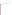Portable Cyanide Analyzers Test/QA Plan Page 20 of 40 Version 1 Date: 1/08/03

# **3.3 Reference Instrument**

The reference method for analysis of cyanide will be performed on an instrument to be determined as soon as the reference lab is selected. It will be added to the Test/QA plan in the form of an amendment.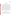#### **4.0 PROCEDURES**

#### **4.1 Test Sample Preparation and Storage**

QC and PT samples will be prepared from commercially available NIST traceable standard material. The standard will be dissolved and diluted to appropriate concentrations using ASTM Type II water in Class A volumetric glassware. The QC and PT samples will be prepared at start of testing, preserved with NaOH and stored at 4 EC for a maximum of 30 days.

Surface and drinking water samples will be collected from the sources indicated in Section 2.3.3, and will be stored in HDPE containers. Because free chlorine will degrade cyanide during storage, at the time of sampling, all of the samples will be tested for free chlorine with potassium iodide starch (KI) paper. The presence of chlorine is indicated by the KI paper changing to a bright blue color. If chlorine is present, ascorbic acid will be added a few crystals at a time until there is no further color change on the KI paper. Analysis and shipment of the samples to the reference laboratory will then proceed as previously described. For the residential tap water samples, sample analysis will be performed at the time of collection by the analyzers being verified. The rest of the surface and drinking water samples and all of the samples to be analyzed by the reference method will be stored until analysis at 4EC and preserved with sodium hydroxide at a pH of greater than 12. The reference analyses will be performed within 14 days of collection or the field sampling will be repeated.

#### **4.2 Sample Identification**

Aliquots to be analyzed will be drawn from the prepared standard solutions or from source and drinking water samples and placed in uniquely identified sample containers for subsequent analysis. The sample containers will be identified by a unique identification (ID) number. A master log of the samples and sample ID numbers for each analyzer will be kept by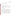Battelle. The ID number, date, person collecting, sample location, and time of collection will be recorded on a chain-of-custody form for all field samples.

#### **4.3 Sample Analysis**

### **4.3.1 Reference Method**

The reference instrument will be operated according to the recommended procedures in the instruction manual, and samples will be analyzed according to EPA Method 335.1, Cyanides, Amenable to Chlorination".

Results from the reference analyses will be recorded electronically and compiled by the laboratory performing the analyses into a report format, including the sample ID and the analyte concentration for each sample.

#### **4.3.2 Analyzers Undergoing Verification**

Each vendor will be required to provide two units of their portable cyanide analyzer. Each unit will be subjected to the test procedure independently, and separate verification results will be reported for each unit. Those results will then be intercompared to assess unit-to-unit reproducibility. Each of the analyzers being verified will be used to analyze the full set of samples. As shown in Appendix A, the sample set will include replicates of each of the PT, QC, and drinking and surface water samples. Analysis of the complete set of samples will be performed twice for each of the test kit analyzers, once by a non-technical staff member of Battelle, and once by a technical staff member using the same sample aliquot. Because the ion selective electrode analyzers are designed for only the technical user, only a technical operator will perform the analyses for those analyzers. For both types of analyzers, the analyses will be performed according to the manufacturer's recommended procedures as described in the user's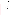instructions or manual, or during training provided to the Battelle staff. Similarly, calibration and maintenance of the analyzers will be performed as specified by the manufacturer.

Results from the analyzers being verified will be recorded manually by the operator on appropriate data sheets. In addition to the analytical results, the data sheets will include records of the time required for sample analysis and operator observations concerning the use of the analyzer (i.e., frequency of calibration, ease of use, maintenance, etc.).

# **4.4 Schedule**

The verification test described here will take place throughout January 2003 at Battelle's laboratories in Columbus, Ohio and nearby sampling locations. The same samples analyzed by the portable cyanide analyzers undergoing testing will be analyzed by the reference method. All analyzers of the same type being tested will be challenged with the same set of samples. Separate aliquots will be drawn from a single sample for each type of technology. No direct comparison will be made between the results from different analyzers; however, it is to the benefit of potential users of the analyzers that test conditions be as similar as possible.

It will be necessary for participating vendors to provide their analyzers to Battelle by a specified date so project staff may become familiar with operating the units before testing begins. This period will also be used to clarify any questions about the analyzer's operation or maintenance. Vendor staff may choose to be present for this familiarization stage and/or provide training in operating the analyzers either in person or by teleconference. During the verification test, the vendor is encouraged to participate by providing a representative to serve as the technical operator. However, Battelle technical staff will be available to be trained in the operation of the vendor analyzer so the vendor representative does not have to be present for the duration of testing. Battelle will provide non-technical staff to perform the non-technical operator portion of the test kit verification test. Analyzers and associated equipment (if not consumables) will be returned to the vendors at the completion of testing.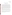# **5.0 DATA HANDLING AND REPORTING**

#### **5.1 Data Acquisition and Review**

A variety of data will be acquired and recorded electronically or manually by Battelle staff in this verification test. Operation, maintenance, and results from the analyzers being verified and sampling procedures, will generally be documented on data sheets or in laboratory record books. Results from the reference instruments will be compiled in electronic format.

Records received by or generated by any Battelle staff during the verification test will be reviewed by a more senior Battelle staff member within two weeks after receipt or generation, before these records are used to calculate, evaluate, or report verification results. These records may include electronic records; laboratory record books; sampling records from the field test; or equipment calibration records. The review will be documented by the person performing the review by adding his/her initials and date to a hard copy of the record being reviewed. This hard copy will then be returned to the Battelle staff member who received, generated, or will be storing the record.

In addition, data calculations performed by Battelle will be spot-checked by a more senior Battelle technical staff to ensure that calculations are performed correctly. Calculations to be checked include reference analysis results and statistical calculations described in this test/QA plan.

The data obtained from this verification test will be compiled and reported independently for each analyzer being verified. No intercomparison of the results from one vendor's technology to another's will be made. However, intercomparisons will be made between the results for duplicate analyzers from each vendor.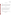#### **5.2 Statistical Calculations**

#### **5.2.1 Accuracy**

Accuracy of the analyzers being verified will be assessed relative to the results obtained from the reference analyses. Samples will be analyzed by both the reference method and the analyzers being verified. The results for each set of analyses will be averaged, and the accuracy will be expressed in terms of a relative average bias (B) as calculated from the following equation:

$$
B = \frac{d}{\overline{C}_R} \times 100\tag{2}
$$

where  $\overline{d}$  is the average difference between the readings from the analyzer being verified and those from the reference method, and  $\overline{C_R}$  is the average of the reference measurements. Accuracy will be assessed independently for each analyzer to determine inter-unit reproducibility. Additionally, the results will be analyzed independently for the readings obtained from the two operators to determine if significant operator bias exists.

#### **5.2.2 Precision**

The standard deviation (S) of the results for the replicate samples will be calculated and used as a measure of analyzer precision at each concentration.

$$
S = \left[\frac{1}{n-1} \sum_{k=1}^{n} \left(C_k - \overline{C}\right)^2\right]^{1/2}
$$
 (3)

 $1/2$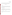where n is the number of replicate samples,  $C_k$  is the concentration measured for the  $k<sup>th</sup>$  sample, and  $\overline{C}$  is the average concentration of the replicate samples. The analyzer precision at each concentration will be reported in terms of the relative standard deviation (RSD), e.g.,

$$
RSD = \left| \frac{S}{\overline{C}} \right| \times 100 \tag{4}
$$

#### **5.2.3 Linearity**

Linearity will be assessed by linear regression with the analyte concentration measured by the reference method as independent variable, and the reading from the analyzer being verified as dependent variable. Linearity will be expressed in terms of the slope, intercept, and the coefficient of determination  $(r^2)$ .

#### **5.2.4 Method Detection Limit**

The method detection limit (MDL) for each analyzer will be assessed from the seven replicate analyses of a fortified sample with an analyte concentration of five times the vendor's estimated detection limit (see Tables A-1 and A-2 in Appendix A). The MDL will be calculated from the following equation:

$$
MDL = t \times S \tag{5}
$$

where *t* is the Student's value for a 99% confidence level, and S is the standard deviation of the replicate samples. The MDL values for the two units of each analyzer will be reported as separate results.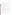#### **5.2.5 Operator Bias**

To assess operator bias for each test kit analyzer, the results obtained from each operator will be compiled independently and subsequently compared. The existence of statistically significant operator bias will be assessed through a *t*-test of the data.

#### **5.2.6 Inter-Unit Reproducibility**

The results obtained from two identical units of each analyzer will be compiled independently for each analyzer and for each operator, and compared to assess inter-unit reproducibility. The results will be interpreted using a *t*-test to assess if significant differences exist between the units tested.

#### **5.2.7 Field Portability**

The results obtained from the measurements made on drinking water samples in the laboratory and field setting will be compiled independently for each analyzer and for each operator, and compared to assess the accuracy of the measurements under the different analysis conditions. The results will be interpreted using a *t*-test to assess if significant differences exist between the location of testing.

#### **5.2.8 Lethal or Near-Lethal Dose Response**

Because the analyzers are not designed to quantitatively measure extremely high concentration water samples that are near-lethal or lethal of consumed, the operators and test coordinator will make qualitative observations of their operation while analyzing such samples.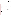Observations of unusual operational characteristics (rate of color change, unusually intense color, unique digital readout, etc.) will be documented and reported.

#### **5.3 Data Review**

Records generated during the verification test by any Battelle staff be reviewed by a more senior Battelle staff member within two weeks of generation, before these records are used to calculate, evaluate, or report verification results. Table 1 summarizes the types of data to be recorded. These records may include laboratory record books or reference method analytical results. Battelle, contractor, and/or vendor staff will be consulted as needed to clarify any issues about the data records. The review will be documented by the person performing the review by adding his/her initials and date to a hard copy of the record being reviewed. This hard copy will then be returned to the Battelle staff member who generated or who will be storing the record.

#### **5.4 Reporting**

The data obtained in the verification test will be compiled separately for each vendor's analyzer, and the statistical evaluations described in Section 4 will be applied to each data set without reference to any other. At no time will data from different vendor's analyzers be intercompared or ranked. Following completion of the statistical evaluations, a draft verification report will be prepared for each vendor's analyzer, stating the verification test procedures and documenting the performance observed. The draft verification reports will each be submitted to the respective vendors for review and comment. Battelle will consider the comments provided by each vendor when revising the verification reports, but does not guarantee that revisions made to the final verification reports will reflect those comments. After vendor review, the revised reports will be submitted to EPA and AMS Center stakeholders for peer review. The reports will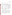then be revised again to address the peer review comments and submitted for final EPA approval.

| Data to be Recorded                                                                              | <b>Responsible Party</b> | <b>Where Recorded</b>                                                                        | <b>How often Recorded</b>                                        | Disposition of data <sup>(a)</sup>                                                                     |
|--------------------------------------------------------------------------------------------------|--------------------------|----------------------------------------------------------------------------------------------|------------------------------------------------------------------|--------------------------------------------------------------------------------------------------------|
| Dates, times of test<br>events                                                                   | <b>Battelle</b>          | Laboratory record<br>books                                                                   | Start/end of test, and at<br>each change of a test<br>parameter. | Used to organize/check test<br>results; manually<br>incorporated in data<br>spreadsheets as necessary. |
| Test parameters<br>(meteorological)<br>conditions, analyte<br>concentrations.<br>location, etc.) | <b>Battelle</b>          | Laboratory record<br>books                                                                   | When set or changed,<br>or as needed to<br>document stability.   | Used to organize/check test<br>results, manually<br>incorporated in data<br>spreadsheets as necessary. |
| Reference method<br>sampling data                                                                | <b>Battelle</b>          | Laboratory record<br>books                                                                   | At least at the time of<br>sampling                              | Used to organize/check test<br>results; manually<br>incorporated in data<br>spreadsheets as necessary. |
| Reference method<br>sample analysis, chain<br>of custody, and results                            | Contracted<br>laboratory | Laboratory record<br>books, data sheets,<br>or data acquisition<br>system, as<br>appropriate | Throughout sample<br>handling and analysis<br>process            | Transferred to<br>spreadsheets/agreed upon<br>report                                                   |

**Table 1. Summary of Data Recording Process for the Verification Test** 

(a) All activities subsequent to data recording are carried out by Battelle.

In parallel with preparation of the verification reports will be preparation of the verification statement for each analyzer. The verification statement is a two- to three-page summary of the technology, the test procedures, and the test results. Each draft verification statement will be submitted to the respective vendor for review, and then will follow the same revision and EPA review process as the reports. Upon approval by EPA, each verification statement will be signed by a senior manager of Battelle and by an EPA laboratory director. Battelle will reserve the right to post the final verification reports and statements on the ETV website (http://www.epa.gov/etv). Original signed verification statements will be provided to the respective vendors for use in marketing their products.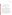# **6.0 QUALITY ASSURANCE /QUALITY CONTROL**

The QA/QC activities associated with this verification test will focus primarily on reference analysis, sample preparation and handling, and data recording and analysis. An independent audit covering each of these areas will be performed by the Battelle Quality Manager to ensure the quality of the verification test.

#### **6.1 QC of Reference Method**

Analysis of QC samples throughout the verification test will be used to document the performance of the reference method. RB samples will be analyzed to ensure that no sources of contamination are present. If the analysis of an RB sample indicates a concentration above the MDL for the reference instrument, contamination will be suspected. Any contamination source(s) will be corrected, and proper blank readings will be achieved, before proceeding with the verification test.

The accuracy of the reference method will be verified before the beginning and after the conclusion of each testing day. The instrument to be used for reference (see Section 3.3) will be initially calibrated according to the procedures specified in the reference method. The instrument calibration will be verified using an appropriate QCS (included as part of reference laboratory's SOP). If the QCS analysis differs by more than 25% from the true value of the standard, corrective action will be taken before the analysis of more samples. LFM samples will be analyzed to assess if matrix effects influence the results of the reference method. The percent recovery (R) of the spiked solution will be calculated from the following equation: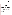Portable Cyanide Analyzers Test/QA Plan Page 31 of 40 Version 1 Date: 1/08/03

$$
R = \frac{C_s - C}{s} \times 100\tag{6}
$$

where  $C_s$  is the analyzed concentration of the spiked sample, C is the analyzed concentration of the unspiked sample, and s is the concentration equivalent of the cyanide spike. If the percent recovery of an LRM falls outside the range from 75-125%, a matrix effect will be suspected.

#### **6.2 Audits**

#### **6.2.1 Performance Evaluation Audit**

A performance evaluation (PE) audit will be conducted to assess the quality of the reference measurements made in this verification test. A performance evaluation audit involves challenging the instruments used for reference method with standards that are independent of those used to calibrate the instruments for the test. For the PE audit, an independent standard will be obtained from a vendor that is different from the one that supplied the OC standards. This comparison of the QC and performance evaluation standards will be done once during the verification test. Agreement of the standards within 25% is required for the measurements to be considered as acceptable. Failure to achieve this agreement will trigger a repeat of the performance evaluation comparison. Failure in the second comparison requires obtaining another set of standards, and repeating the performance audit.

#### **6.2.2 Technical Systems Audit**

The Battelle Quality Manager will conduct a technical systems audit at least once during the course of the verification test. The purpose of this audit is to ensure that the verification test is being performed in accordance with this test/QA plan and the AMS Center  $QMP<sup>1</sup>$ , and that all procedures described in this test/QA plan are being followed. This audit will review the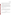Portable Cyanide Analyzers Test/QA Plan Page 32 of 40 Version 1 Date: 1/08/03

reference standards and methods used, compare actual test procedures to those specified in this test/QA plan, and review data acquisition and handling procedures. An independent technical systems audit may also be performed by EPA Quality Management staff during the verification test, at EPA's discretion.

As referred to in Section 1.3.4, Battelle will submit various solutions with known concentrations of cyanide to prospective commercial laboratories to test their ability to accurately measure cyanide. After the reference lab reports the cyanide concentrations in those solutions to within 25% of the known concentration, the Battelle Quality Manager will conduct an audit of the reference laboratory's quality documents. If there are areas of concern with the quality documents, the commercial laboratory will be notified, and if they are willing to adapt their procedures, the laboratory will still be used. If not, another laboratory will be selected and their performance will be verified in a similar manner.

#### **6.2.3 Audit of Data Quality**

At least 10% percent of the data generated during the verification test will be audited during the verification test. Battelle's Quality Manager will trace the data from the initial acquisition, through reduction and statistical analysis, to final reporting, to ensure the integrity of the reported results. All calculations performed on the data undergoing the audit will be checked.

#### **6.3 QA/QC Reporting**

Each assessment and audit will be documented in accordance with Section 3.3.4 of the QMP for the AMS Center. The results of the technical systems audit will be sent to the EPA. Assessment reports will include the following: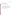- Identification of any adverse findings or potential problems.
- Response to adverse findings or potential problems.
- Recommendations for resolving problems.
- Confirmation that solutions have been implemented and are effective.
- Citation of any noteworthy practices that may be of use to others.

# **6.4 Corrective Action**

The Battelle or EPA Quality Managers during the course of any assessment or audit will identify to the technical staff performing experimental activities any immediate corrective action that should be taken. If serious quality problems exist, the Battelle Quality Manager is authorized to stop work. Once the assessment report has been prepared, the Verification Test Coordinator will ensure that a response is provided for each adverse finding or potential problem, and will implement any necessary follow-up corrective action. The Battelle Quality Manager will ensure that follow-up corrective action has been taken.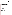# **7.0 HEALTH AND SAFETY**

#### **7.1 Handling of Sodium Hydroxide and Potassium Cyanide**

#### **7.1.1 Laboratory Standard/Performance Test Sample Preparation**

All handling of solid and highly concentrated aqueous solutions of potassium cyanide and sodium hydroxide will be done inside of a laboratory hood with hood sash set to the lowest height that still allows for safe manipulation of materials. The following guidelines should be adhered to:

- Personal protective equipment shall include safety glasses with side shields, a laboratory coat and nitrile lab gloves. Gloves shall be immediately changed if they become contaminated. (The same gloves can be used for sodium hydroxide)
- All contaminated waste shall be handled as hazardous waste and sent out through Battelle Waste Operations.

#### **7.1.2 Field and Laboratory Handling During Verification Testing**

Field handling of the cyanide and sodium hydroxide solutions will be accomplished by taking the following precautions:

- All containers shall be stored and transported in double containment.
- Safety goggles, nitrile gloves with long cuffs, and a chemical resistant disposable lab coat shall be worn when handling either chemical. Gloves shall be immediately changed if they become contaminated.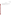Portable Cyanide Analyzers Test/QA Plan Page 35 of 40 Version 1 Date: 1/08/03

# **8.0 REFERENCES**

- 1. "Quality Management Plan (QMP) for the ETV Advanced Monitoring Systems Center", Version 3.0, Environmental Technology Verification Program, prepared by Battelle, Columbus, Ohio, December 2001.
- 2. U.S. EPA Method 335.1, Cyanides, Amenable to Chlorination, 1974.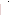Portable Cyanide Analyzers Test/QA Plan Page 36 of 40 Version 1 Date: 1/08/03

# **APPENDIX A**

# **SUMMARY OF TEST SAMPLES FOR PORTABLE CYANIDE ANALYZERS**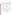| <b>Type of Sample</b>                | <b>Sample Characteristics</b>               | Concentration                                                 | No. of<br><b>Samples</b> |
|--------------------------------------|---------------------------------------------|---------------------------------------------------------------|--------------------------|
|                                      | RB <sup>b</sup>                             | $\sim 0$                                                      | $10\%$ of all            |
| <b>Quality Control</b>               | LFM <sup>b</sup>                            | $0.2 \text{ mg/L}^{\circ}$                                    | 4 per water<br>source    |
|                                      | OCS <sup>b</sup>                            | $0.2$ mg/L                                                    | $10\%$ of all            |
|                                      | For the determination of<br>detection limit | Five times the<br>manufacturer's estimated<br>detection limit | 7                        |
| Performance                          | Cyanide                                     | $0.03$ mg/L                                                   | $\overline{4}$           |
| <b>Test</b>                          | Cyanide                                     | $0.1$ mg/L                                                    | $\overline{4}$           |
|                                      | Cyanide                                     | $0.2$ mg/L                                                    | $\overline{4}$           |
|                                      | Cyanide                                     | $0.4$ mg/L                                                    | $\overline{4}$           |
|                                      | Cyanide                                     | $0.8$ mg/L                                                    | $\overline{4}$           |
| Lethal /                             | Cyanide                                     | $50 \text{ mg/L}$                                             | $\overline{4}$           |
| Near-Lethal                          | Cyanide                                     | $100$ mg/L                                                    | $\overline{4}$           |
| Samples                              | Cyanide                                     | $250$ mg/L                                                    | $\overline{4}$           |
|                                      | <b>Residence with Columbus</b>              | Unknown                                                       | $3$ or $12d$             |
|                                      | water                                       | $0.2$ mg/L LFM                                                | 12                       |
| Drinking and<br><b>Surface Water</b> | Residence with well water                   | Unknown                                                       | 3 or 12                  |
|                                      |                                             | $0.2$ mg/L LFM                                                | 12                       |
|                                      | Alum Creek Reservoir                        | Unknown                                                       | $1$ or $4$               |
|                                      |                                             | $0.2$ mg/L LFM                                                | $\overline{4}$           |

Table A-1. Summary of the Colorimetric Test Kit Verification Test Samples<sup>a</sup> for Cyanide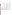| <b>Olentangy River</b> | Unknown                | $1$ or $4$ |
|------------------------|------------------------|------------|
|                        | $0.2 \text{ mg/L LFM}$ | 4          |
| Northwestern U.S.      | Unknown                | $1$ or $4$ |
|                        | $0.2 \text{ mg/L LFM}$ | 4          |
| Southwestern U.S.      | Unknown                | $1$ or $4$ |
|                        | $0.2 \text{ mg/L LFM}$ | 4          |
| Midwestern U.S.        | Unknown                | $1$ or $4$ |
|                        | $0.2 \text{ mg/L LFM}$ | 4          |
| Southeastern U.S.      | Unknown                | $1$ or $4$ |
|                        | $0.2 \text{ mg/L LFM}$ | 4          |
| Northeastern U.S.      | Unknown                | $1$ or $4$ |
|                        | $0.2 \text{ mg/L LFM}$ | 4          |

a Listing is for clarity; samples will be analyzed in randomized order for the verification testing.

b See Section 2.3.1 for descriptions of these samples.

<sup>c</sup> MCL for cyanide.

<sup>d</sup> If the initial unspiked aliquot gives a non-detectable response, no further unspiked aliquots will be measured. However, if there is a detectable response in the initial aliquot, three additional aliquots will be analyzed for a total of four analyses for each water sample. Three water samples are analyzed at each residence (3 or 12 total samples) and one water sample for the other sample types (1 or 4 total samples).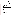| Type of Sample         | <b>Sample Characteristics</b>               | Concentration                                                 | No. of<br><b>Samples</b> |
|------------------------|---------------------------------------------|---------------------------------------------------------------|--------------------------|
|                        | RB <sup>b</sup>                             | $\sim 0$                                                      | 10% of all               |
| <b>Quality Control</b> | LFM <sup>b</sup>                            | $0.2 \text{ mg/L}^{\circ}$                                    | 4 per water<br>source    |
|                        | $QCS$ <sup>b</sup>                          | $0.2$ mg/L                                                    | $10\%$ of all            |
|                        | For the determination of<br>detection limit | Five times the<br>manufacturer's estimated<br>detection limit | 7                        |
|                        | Cyanide                                     | $0.03$ mg/L                                                   | $\overline{4}$           |
|                        | Cyanide                                     | $0.1$ mg/L                                                    | $\overline{4}$           |
| Performance<br>Test    | Cyanide                                     | $0.2$ mg/L                                                    | $\overline{4}$           |
|                        | Cyanide                                     | $0.4$ mg/L                                                    | $\overline{4}$           |
|                        | Cyanide                                     | $1$ mg/L                                                      | $\overline{4}$           |
|                        | Cyanide                                     | $5$ mg/L                                                      | $\overline{4}$           |
|                        | Cyanide                                     | $15 \text{ mg/L}$                                             | $\overline{4}$           |
|                        | Cyanide                                     | $25 \text{ mg/L}$                                             | $\overline{4}$           |
| Drinking and           | Residence with Columbus                     | Unknown                                                       | $3$ or $12d$             |
| <b>Surface Water</b>   | water                                       | 0.2 mg/L LFM                                                  | 12                       |
|                        | Residence with well water                   | Unknown                                                       | 3 or 12                  |
|                        |                                             | $0.2 \text{ mg/L LFM}$                                        | 12                       |
|                        | Alum Creek Reservoir                        | Unknown                                                       | 1 or 4                   |
|                        |                                             | 0.2 mg/L LFM                                                  | $\overline{4}$           |
|                        | <b>Olentangy River</b>                      | Unknown                                                       | $1$ or $4$               |
|                        |                                             | $0.2 \text{ mg/L LFM}$                                        | $\overline{4}$           |
|                        | Northwestern U.S.                           | Unknown                                                       | $1$ or $4$               |

Table A-2. Summary of the Ion Selective Electrode Verification Test Samples<sup>a</sup> for Cyanide